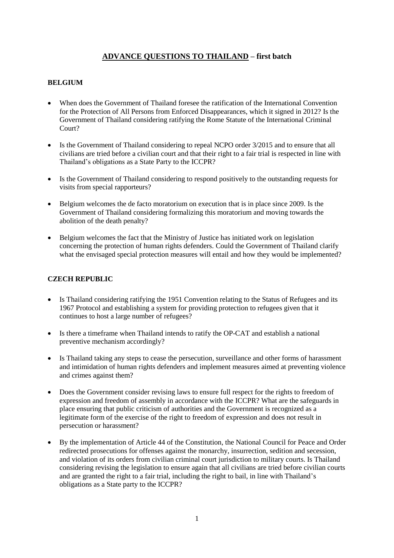# **ADVANCE QUESTIONS TO THAILAND – first batch**

## **BELGIUM**

- When does the Government of Thailand foresee the ratification of the International Convention for the Protection of All Persons from Enforced Disappearances, which it signed in 2012? Is the Government of Thailand considering ratifying the Rome Statute of the International Criminal Court?
- Is the Government of Thailand considering to repeal NCPO order 3/2015 and to ensure that all civilians are tried before a civilian court and that their right to a fair trial is respected in line with Thailand's obligations as a State Party to the ICCPR?
- Is the Government of Thailand considering to respond positively to the outstanding requests for visits from special rapporteurs?
- Belgium welcomes the de facto moratorium on execution that is in place since 2009. Is the Government of Thailand considering formalizing this moratorium and moving towards the abolition of the death penalty?
- Belgium welcomes the fact that the Ministry of Justice has initiated work on legislation concerning the protection of human rights defenders. Could the Government of Thailand clarify what the envisaged special protection measures will entail and how they would be implemented?

# **CZECH REPUBLIC**

- Is Thailand considering ratifying the 1951 Convention relating to the Status of Refugees and its 1967 Protocol and establishing a system for providing protection to refugees given that it continues to host a large number of refugees?
- Is there a timeframe when Thailand intends to ratify the OP-CAT and establish a national preventive mechanism accordingly?
- Is Thailand taking any steps to cease the persecution, surveillance and other forms of harassment and intimidation of human rights defenders and implement measures aimed at preventing violence and crimes against them?
- Does the Government consider revising laws to ensure full respect for the rights to freedom of expression and freedom of assembly in accordance with the ICCPR? What are the safeguards in place ensuring that public criticism of authorities and the Government is recognized as a legitimate form of the exercise of the right to freedom of expression and does not result in persecution or harassment?
- By the implementation of Article 44 of the Constitution, the National Council for Peace and Order redirected prosecutions for offenses against the monarchy, insurrection, sedition and secession, and violation of its orders from civilian criminal court jurisdiction to military courts. Is Thailand considering revising the legislation to ensure again that all civilians are tried before civilian courts and are granted the right to a fair trial, including the right to bail, in line with Thailand's obligations as a State party to the ICCPR?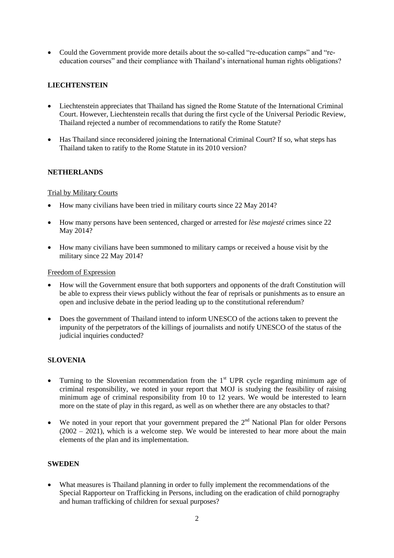Could the Government provide more details about the so-called "re-education camps" and "reeducation courses" and their compliance with Thailand's international human rights obligations?

# **LIECHTENSTEIN**

- Liechtenstein appreciates that Thailand has signed the Rome Statute of the International Criminal Court. However, Liechtenstein recalls that during the first cycle of the Universal Periodic Review, Thailand rejected a number of recommendations to ratify the Rome Statute?
- Has Thailand since reconsidered joining the International Criminal Court? If so, what steps has Thailand taken to ratify to the Rome Statute in its 2010 version?

## **NETHERLANDS**

#### Trial by Military Courts

- How many civilians have been tried in military courts since 22 May 2014?
- How many persons have been sentenced, charged or arrested for *lèse majesté* crimes since 22 May 2014?
- How many civilians have been summoned to military camps or received a house visit by the military since 22 May 2014?

#### Freedom of Expression

- How will the Government ensure that both supporters and opponents of the draft Constitution will be able to express their views publicly without the fear of reprisals or punishments as to ensure an open and inclusive debate in the period leading up to the constitutional referendum?
- Does the government of Thailand intend to inform UNESCO of the actions taken to prevent the impunity of the perpetrators of the killings of journalists and notify UNESCO of the status of the judicial inquiries conducted?

# **SLOVENIA**

- Turning to the Slovenian recommendation from the  $1<sup>st</sup>$  UPR cycle regarding minimum age of criminal responsibility, we noted in your report that MOJ is studying the feasibility of raising minimum age of criminal responsibility from 10 to 12 years. We would be interested to learn more on the state of play in this regard, as well as on whether there are any obstacles to that?
- We noted in your report that your government prepared the  $2<sup>nd</sup>$  National Plan for older Persons  $(2002 - 2021)$ , which is a welcome step. We would be interested to hear more about the main elements of the plan and its implementation.

#### **SWEDEN**

 What measures is Thailand planning in order to fully implement the recommendations of the Special Rapporteur on Trafficking in Persons, including on the eradication of child pornography and human trafficking of children for sexual purposes?